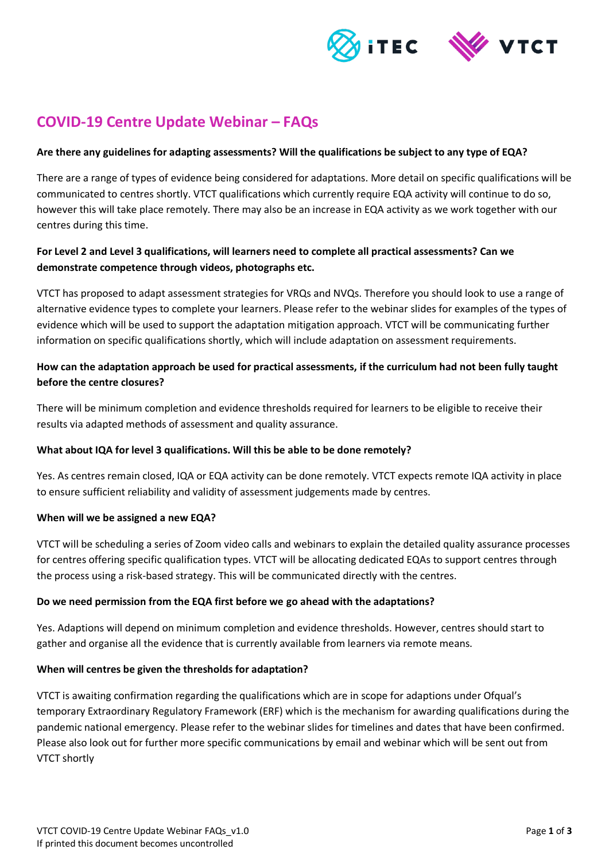

# **COVID-19 Centre Update Webinar – FAQs**

# **Are there any guidelines for adapting assessments? Will the qualifications be subject to any type of EQA?**

There are a range of types of evidence being considered for adaptations. More detail on specific qualifications will be communicated to centres shortly. VTCT qualifications which currently require EQA activity will continue to do so, however this will take place remotely. There may also be an increase in EQA activity as we work together with our centres during this time.

# **For Level 2 and Level 3 qualifications, will learners need to complete all practical assessments? Can we demonstrate competence through videos, photographs etc.**

VTCT has proposed to adapt assessment strategies for VRQs and NVQs. Therefore you should look to use a range of alternative evidence types to complete your learners. Please refer to the webinar slides for examples of the types of evidence which will be used to support the adaptation mitigation approach. VTCT will be communicating further information on specific qualifications shortly, which will include adaptation on assessment requirements.

# **How can the adaptation approach be used for practical assessments, if the curriculum had not been fully taught before the centre closures?**

There will be minimum completion and evidence thresholds required for learners to be eligible to receive their results via adapted methods of assessment and quality assurance.

# **What about IQA for level 3 qualifications. Will this be able to be done remotely?**

Yes. As centres remain closed, IQA or EQA activity can be done remotely. VTCT expects remote IQA activity in place to ensure sufficient reliability and validity of assessment judgements made by centres.

# **When will we be assigned a new EQA?**

VTCT will be scheduling a series of Zoom video calls and webinars to explain the detailed quality assurance processes for centres offering specific qualification types. VTCT will be allocating dedicated EQAs to support centres through the process using a risk-based strategy. This will be communicated directly with the centres.

# **Do we need permission from the EQA first before we go ahead with the adaptations?**

Yes. Adaptions will depend on minimum completion and evidence thresholds. However, centres should start to gather and organise all the evidence that is currently available from learners via remote means.

# **When will centres be given the thresholds for adaptation?**

VTCT is awaiting confirmation regarding the qualifications which are in scope for adaptions under Ofqual's temporary Extraordinary Regulatory Framework (ERF) which is the mechanism for awarding qualifications during the pandemic national emergency. Please refer to the webinar slides for timelines and dates that have been confirmed. Please also look out for further more specific communications by email and webinar which will be sent out from VTCT shortly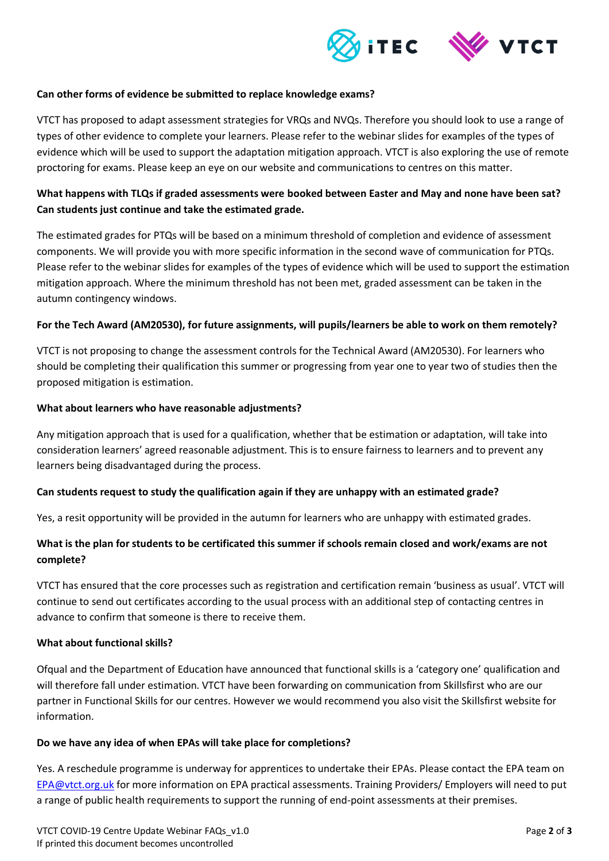

### **Can other forms of evidence be submitted to replace knowledge exams?**

VTCT has proposed to adapt assessment strategies for VRQs and NVQs. Therefore you should look to use a range of types of other evidence to complete your learners. Please refer to the webinar slides for examples of the types of evidence which will be used to support the adaptation mitigation approach. VTCT is also exploring the use of remote proctoring for exams. Please keep an eye on our website and communications to centres on this matter.

# **What happens with TLQs if graded assessments were booked between Easter and May and none have been sat? Can students just continue and take the estimated grade.**

The estimated grades for PTQs will be based on a minimum threshold of completion and evidence of assessment components. We will provide you with more specific information in the second wave of communication for PTQs. Please refer to the webinar slides for examples of the types of evidence which will be used to support the estimation mitigation approach. Where the minimum threshold has not been met, graded assessment can be taken in the autumn contingency windows.

### **For the Tech Award (AM20530), for future assignments, will pupils/learners be able to work on them remotely?**

VTCT is not proposing to change the assessment controls for the Technical Award (AM20530). For learners who should be completing their qualification this summer or progressing from year one to year two of studies then the proposed mitigation is estimation.

#### **What about learners who have reasonable adjustments?**

Any mitigation approach that is used for a qualification, whether that be estimation or adaptation, will take into consideration learners' agreed reasonable adjustment. This is to ensure fairness to learners and to prevent any learners being disadvantaged during the process.

#### **Can students request to study the qualification again if they are unhappy with an estimated grade?**

Yes, a resit opportunity will be provided in the autumn for learners who are unhappy with estimated grades.

# **What is the plan for students to be certificated this summer if schools remain closed and work/exams are not complete?**

VTCT has ensured that the core processes such as registration and certification remain 'business as usual'. VTCT will continue to send out certificates according to the usual process with an additional step of contacting centres in advance to confirm that someone is there to receive them.

#### **What about functional skills?**

Ofqual and the Department of Education have announced that functional skills is a 'category one' qualification and will therefore fall under estimation. VTCT have been forwarding on communication from Skillsfirst who are our partner in Functional Skills for our centres. However we would recommend you also visit the Skillsfirst website for information.

#### **Do we have any idea of when EPAs will take place for completions?**

Yes. A reschedule programme is underway for apprentices to undertake their EPAs. Please contact the EPA team on [EPA@vtct.org.uk](mailto:EPA@vtct.org.uk) for more information on EPA practical assessments. Training Providers/ Employers will need to put a range of public health requirements to support the running of end-point assessments at their premises.